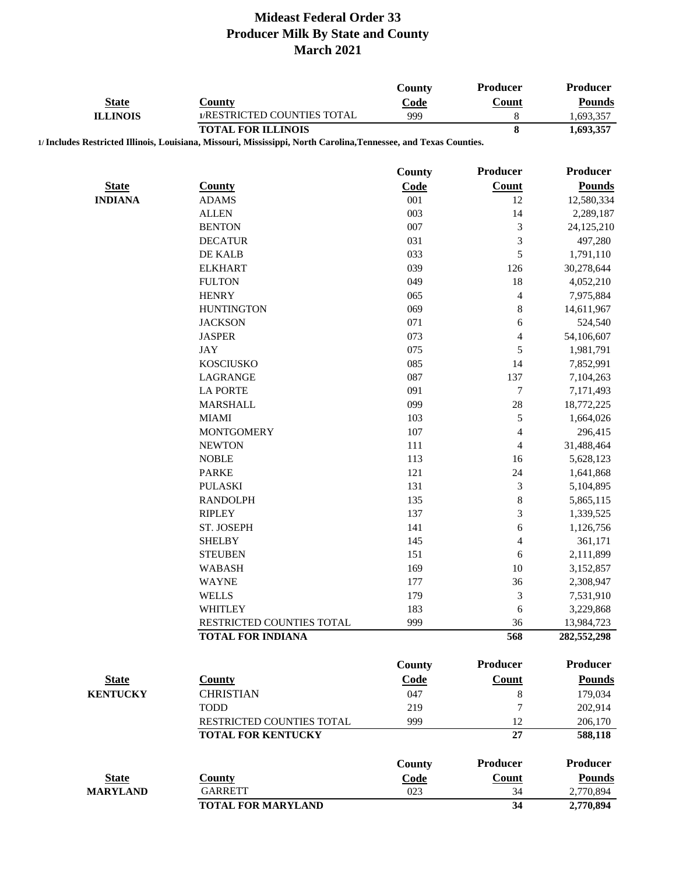|                                |                                                                                                                   | County        | Producer                 | <b>Producer</b>             |
|--------------------------------|-------------------------------------------------------------------------------------------------------------------|---------------|--------------------------|-----------------------------|
| <b>State</b>                   | <b>County</b>                                                                                                     | Code          | Count                    | <b>Pounds</b>               |
| <b>ILLINOIS</b>                | 1/RESTRICTED COUNTIES TOTAL                                                                                       | 999           | $\,8\,$                  | 1,693,357                   |
|                                | <b>TOTAL FOR ILLINOIS</b>                                                                                         |               | 8                        | 1,693,357                   |
|                                | 1/ Includes Restricted Illinois, Louisiana, Missouri, Mississippi, North Carolina, Tennessee, and Texas Counties. |               |                          |                             |
|                                |                                                                                                                   | <b>County</b> | Producer                 | <b>Producer</b>             |
|                                |                                                                                                                   |               |                          |                             |
| <b>State</b><br><b>INDIANA</b> | <b>County</b><br><b>ADAMS</b>                                                                                     | Code<br>001   | <b>Count</b><br>12       | <b>Pounds</b><br>12,580,334 |
|                                | <b>ALLEN</b>                                                                                                      | 003           | 14                       | 2,289,187                   |
|                                | <b>BENTON</b>                                                                                                     | 007           | 3                        | 24,125,210                  |
|                                | <b>DECATUR</b>                                                                                                    | 031           | 3                        | 497,280                     |
|                                | DE KALB                                                                                                           | 033           | 5                        | 1,791,110                   |
|                                | <b>ELKHART</b>                                                                                                    | 039           | 126                      | 30,278,644                  |
|                                | <b>FULTON</b>                                                                                                     | 049           | 18                       | 4,052,210                   |
|                                | <b>HENRY</b>                                                                                                      | 065           | $\overline{\mathcal{L}}$ | 7,975,884                   |
|                                | <b>HUNTINGTON</b>                                                                                                 | 069           | 8                        | 14,611,967                  |
|                                | <b>JACKSON</b>                                                                                                    | 071           | 6                        | 524,540                     |
|                                | <b>JASPER</b>                                                                                                     | 073           | $\overline{\mathcal{L}}$ | 54,106,607                  |
|                                | <b>JAY</b>                                                                                                        | 075           | 5                        | 1,981,791                   |
|                                | <b>KOSCIUSKO</b>                                                                                                  | 085           | 14                       | 7,852,991                   |
|                                | LAGRANGE                                                                                                          | 087           | 137                      | 7,104,263                   |
|                                | <b>LA PORTE</b>                                                                                                   | 091           | 7                        | 7,171,493                   |
|                                | <b>MARSHALL</b>                                                                                                   | 099           | 28                       | 18,772,225                  |
|                                | <b>MIAMI</b>                                                                                                      | 103           | 5                        | 1,664,026                   |
|                                | <b>MONTGOMERY</b>                                                                                                 | 107           | 4                        | 296,415                     |
|                                | <b>NEWTON</b>                                                                                                     | 111           | 4                        | 31,488,464                  |
|                                | <b>NOBLE</b>                                                                                                      | 113           | 16                       | 5,628,123                   |
|                                | <b>PARKE</b>                                                                                                      | 121           | 24                       | 1,641,868                   |
|                                | <b>PULASKI</b>                                                                                                    | 131           | 3                        | 5,104,895                   |
|                                | <b>RANDOLPH</b>                                                                                                   | 135           | 8                        |                             |
|                                | <b>RIPLEY</b>                                                                                                     | 137           | 3                        | 5,865,115<br>1,339,525      |
|                                |                                                                                                                   |               |                          |                             |
|                                | ST. JOSEPH                                                                                                        | 141           | 6                        | 1,126,756                   |
|                                | <b>SHELBY</b>                                                                                                     | 145           | $\overline{\mathcal{L}}$ | 361,171                     |
|                                | <b>STEUBEN</b>                                                                                                    | 151           | 6                        | 2,111,899                   |
|                                | <b>WABASH</b>                                                                                                     | 169           | 10                       | 3,152,857                   |
|                                | <b>WAYNE</b>                                                                                                      | 177           | 36                       | 2,308,947                   |
|                                | <b>WELLS</b>                                                                                                      | 179           | 3                        | 7,531,910                   |
|                                | <b>WHITLEY</b><br>RESTRICTED COUNTIES TOTAL                                                                       | 183<br>999    | 6<br>36                  | 3,229,868                   |
|                                | <b>TOTAL FOR INDIANA</b>                                                                                          |               | 568                      | 13,984,723<br>282,552,298   |
|                                |                                                                                                                   |               |                          |                             |
|                                |                                                                                                                   | County        | <b>Producer</b>          | <b>Producer</b>             |
| <b>State</b>                   | <b>County</b>                                                                                                     | Code          | Count                    | <b>Pounds</b>               |
| <b>KENTUCKY</b>                | <b>CHRISTIAN</b>                                                                                                  | 047           | $\,$ 8 $\,$              | 179,034                     |
|                                | <b>TODD</b>                                                                                                       | 219           | 7                        | 202,914                     |
|                                | RESTRICTED COUNTIES TOTAL                                                                                         | 999           | 12                       | 206,170                     |
|                                | <b>TOTAL FOR KENTUCKY</b>                                                                                         |               | 27                       | 588,118                     |
|                                |                                                                                                                   |               |                          |                             |
|                                |                                                                                                                   | County        | Producer                 | <b>Producer</b>             |
| <b>State</b>                   | <b>County</b>                                                                                                     | Code          | <b>Count</b>             | <b>Pounds</b>               |
| <b>MARYLAND</b>                | <b>GARRETT</b>                                                                                                    | 023           | 34                       | 2,770,894                   |
|                                | <b>TOTAL FOR MARYLAND</b>                                                                                         |               | 34                       | 2,770,894                   |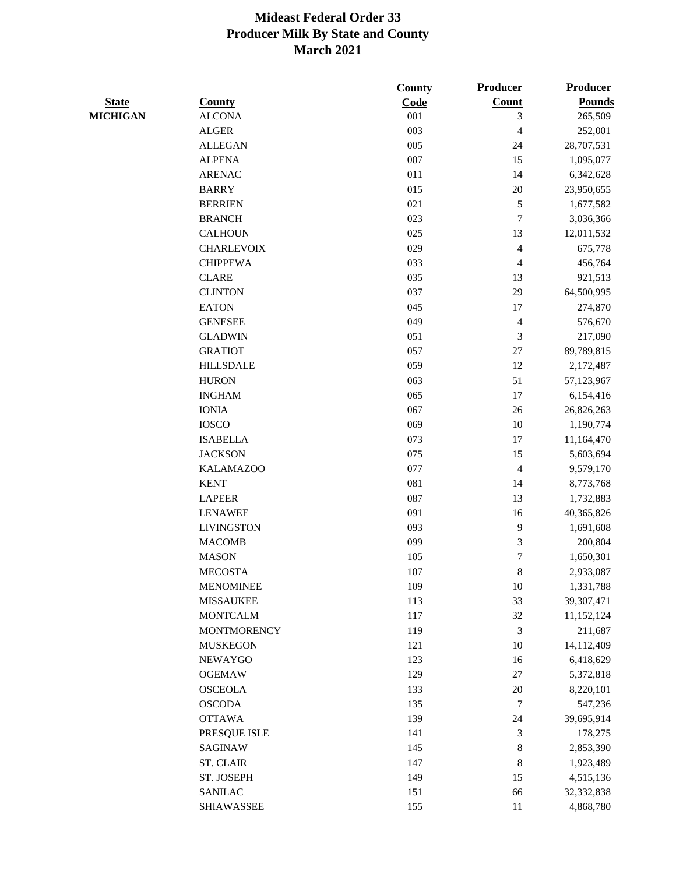|                 |                                 | <b>County</b> | Producer       | Producer               |
|-----------------|---------------------------------|---------------|----------------|------------------------|
| <b>State</b>    | <b>County</b>                   | Code          | Count          | <b>Pounds</b>          |
| <b>MICHIGAN</b> | <b>ALCONA</b>                   | 001           | 3              | 265,509                |
|                 | <b>ALGER</b>                    | 003           | $\overline{4}$ | 252,001                |
|                 | <b>ALLEGAN</b>                  | 005           | 24             | 28,707,531             |
|                 | <b>ALPENA</b>                   | 007           | 15             | 1,095,077              |
|                 | <b>ARENAC</b>                   | 011           | 14             | 6,342,628              |
|                 | <b>BARRY</b>                    | 015           | $20\,$         | 23,950,655             |
|                 | <b>BERRIEN</b>                  | 021           | 5              | 1,677,582              |
|                 | <b>BRANCH</b>                   | 023           | 7              | 3,036,366              |
|                 | <b>CALHOUN</b>                  | 025           | 13             | 12,011,532             |
|                 | <b>CHARLEVOIX</b>               | 029           | $\overline{4}$ | 675,778                |
|                 | <b>CHIPPEWA</b>                 | 033           | 4              | 456,764                |
|                 | <b>CLARE</b>                    | 035           | 13             | 921,513                |
|                 | <b>CLINTON</b>                  | 037           | 29             | 64,500,995             |
|                 | <b>EATON</b>                    | 045           | 17             | 274,870                |
|                 | <b>GENESEE</b>                  | 049           | $\overline{4}$ | 576,670                |
|                 | <b>GLADWIN</b>                  | 051           | $\mathfrak{Z}$ | 217,090                |
|                 | <b>GRATIOT</b>                  | 057           | $27\,$         | 89,789,815             |
|                 | <b>HILLSDALE</b>                | 059           | 12             | 2,172,487              |
|                 | <b>HURON</b>                    | 063           | 51             | 57,123,967             |
|                 | <b>INGHAM</b>                   | 065           | 17             | 6,154,416              |
|                 | <b>IONIA</b>                    | 067           | $26\,$         | 26,826,263             |
|                 | <b>IOSCO</b>                    | 069           | $10\,$         | 1,190,774              |
|                 | <b>ISABELLA</b>                 | 073           | 17             | 11,164,470             |
|                 | <b>JACKSON</b>                  | 075           | 15             | 5,603,694              |
|                 | <b>KALAMAZOO</b>                | 077           | $\overline{4}$ | 9,579,170              |
|                 | <b>KENT</b>                     | 081           | 14             | 8,773,768              |
|                 | <b>LAPEER</b>                   | 087           | 13             | 1,732,883              |
|                 | <b>LENAWEE</b>                  | 091           | 16             | 40,365,826             |
|                 | <b>LIVINGSTON</b>               | 093           | $\mathbf{9}$   | 1,691,608              |
|                 | <b>MACOMB</b>                   | 099           | 3              | 200,804                |
|                 | <b>MASON</b>                    | 105           | 7              | 1,650,301              |
|                 | <b>MECOSTA</b>                  | 107           | $\,8\,$        | 2,933,087              |
|                 | <b>MENOMINEE</b>                | 109           | $10\,$         | 1,331,788              |
|                 | <b>MISSAUKEE</b>                | 113           | 33             | 39,307,471             |
|                 | <b>MONTCALM</b>                 | 117           | 32             | 11,152,124             |
|                 | <b>MONTMORENCY</b>              | 119           | 3              | 211,687                |
|                 | <b>MUSKEGON</b>                 | 121           | 10             | 14,112,409             |
|                 | <b>NEWAYGO</b>                  | 123           | 16             |                        |
|                 |                                 | 129           | $27\,$         | 6,418,629              |
|                 | <b>OGEMAW</b><br><b>OSCEOLA</b> | 133           | $20\,$         | 5,372,818<br>8,220,101 |
|                 |                                 |               |                |                        |
|                 | <b>OSCODA</b>                   | 135           | 7              | 547,236                |
|                 | <b>OTTAWA</b>                   | 139           | $24\,$         | 39,695,914             |
|                 | PRESQUE ISLE                    | 141           | $\mathfrak{Z}$ | 178,275                |
|                 | SAGINAW                         | 145           | 8              | 2,853,390              |
|                 | <b>ST. CLAIR</b>                | 147           | $\,8\,$        | 1,923,489              |
|                 | ST. JOSEPH                      | 149           | 15             | 4,515,136              |
|                 | <b>SANILAC</b>                  | 151           | 66             | 32,332,838             |
|                 | <b>SHIAWASSEE</b>               | 155           | 11             | 4,868,780              |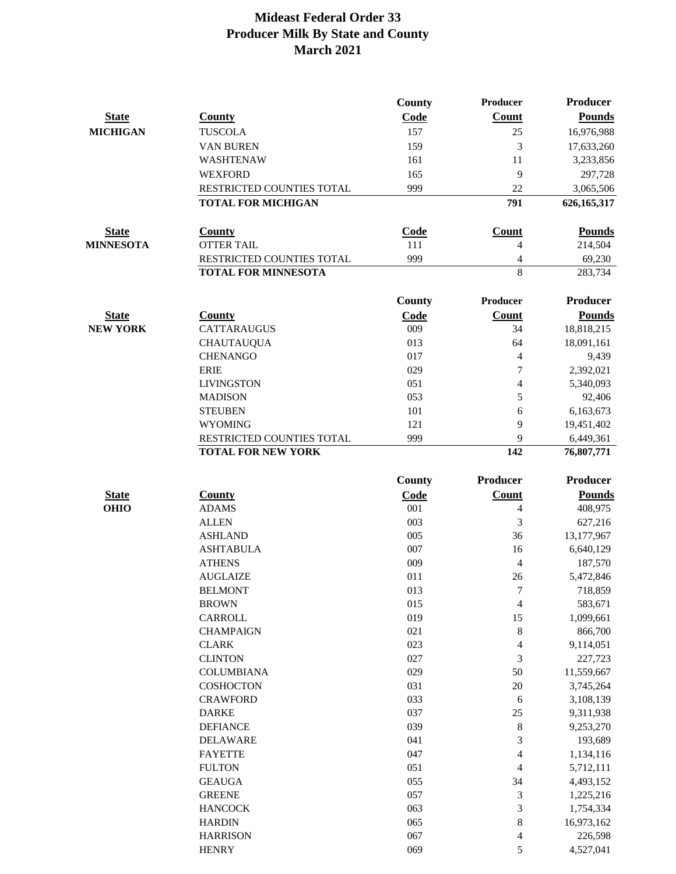|                  |                            | County      | Producer         | Producer        |
|------------------|----------------------------|-------------|------------------|-----------------|
| <b>State</b>     | <b>County</b>              | Code        | Count            | <b>Pounds</b>   |
| <b>MICHIGAN</b>  | <b>TUSCOLA</b>             | 157         | 25               | 16,976,988      |
|                  | <b>VAN BUREN</b>           | 159         | 3                | 17,633,260      |
|                  | WASHTENAW                  | 161         | 11               | 3,233,856       |
|                  | <b>WEXFORD</b>             | 165         | 9                | 297,728         |
|                  | RESTRICTED COUNTIES TOTAL  | 999         | 22               | 3,065,506       |
|                  | <b>TOTAL FOR MICHIGAN</b>  |             | 791              | 626,165,317     |
|                  |                            |             |                  |                 |
| <b>State</b>     | <b>County</b>              | Code        | <b>Count</b>     | <b>Pounds</b>   |
| <b>MINNESOTA</b> | <b>OTTER TAIL</b>          | 111         | 4                | 214,504         |
|                  | RESTRICTED COUNTIES TOTAL  | 999         | 4                | 69,230          |
|                  | <b>TOTAL FOR MINNESOTA</b> |             | $\overline{8}$   | 283,734         |
|                  |                            | County      | <b>Producer</b>  | <b>Producer</b> |
| <b>State</b>     | <b>County</b>              | Code        | <b>Count</b>     | <b>Pounds</b>   |
| <b>NEW YORK</b>  | <b>CATTARAUGUS</b>         | 009         | 34               | 18,818,215      |
|                  | <b>CHAUTAUQUA</b>          | 013         | 64               | 18,091,161      |
|                  | <b>CHENANGO</b>            | 017         | 4                | 9,439           |
|                  | <b>ERIE</b>                | 029         | 7                | 2,392,021       |
|                  | <b>LIVINGSTON</b>          | 051         | $\overline{4}$   | 5,340,093       |
|                  | <b>MADISON</b>             | 053         | 5                | 92,406          |
|                  | <b>STEUBEN</b>             | 101         | 6                | 6,163,673       |
|                  | <b>WYOMING</b>             | 121         | 9                | 19,451,402      |
|                  | RESTRICTED COUNTIES TOTAL  | 999         | 9                | 6,449,361       |
|                  | <b>TOTAL FOR NEW YORK</b>  |             | $\overline{142}$ | 76,807,771      |
|                  |                            |             |                  |                 |
|                  |                            |             |                  |                 |
|                  |                            | County      | <b>Producer</b>  | <b>Producer</b> |
| <b>State</b>     | <b>County</b>              | <b>Code</b> | Count            | <b>Pounds</b>   |
| <b>OHIO</b>      | <b>ADAMS</b>               | 001         | $\overline{4}$   | 408,975         |
|                  | <b>ALLEN</b>               | 003         | 3                | 627,216         |
|                  | <b>ASHLAND</b>             | 005         | 36               | 13,177,967      |
|                  | <b>ASHTABULA</b>           | 007         | 16               | 6,640,129       |
|                  | <b>ATHENS</b>              | 009         | $\overline{4}$   | 187,570         |
|                  | <b>AUGLAIZE</b>            | 011         | 26               | 5,472,846       |
|                  | <b>BELMONT</b>             | 013         | 7                | 718,859         |
|                  | <b>BROWN</b>               | 015         | 4                | 583,671         |
|                  | CARROLL                    | 019         | 15               | 1,099,661       |
|                  | <b>CHAMPAIGN</b>           | 021         | $\,$ 8 $\,$      | 866,700         |
|                  | <b>CLARK</b>               | 023         | 4                | 9,114,051       |
|                  | <b>CLINTON</b>             | 027         | 3                | 227,723         |
|                  | <b>COLUMBIANA</b>          | 029         | 50               | 11,559,667      |
|                  | <b>COSHOCTON</b>           | 031         | $20\,$           | 3,745,264       |
|                  | <b>CRAWFORD</b>            | 033         | $\sqrt{6}$       | 3,108,139       |
|                  | <b>DARKE</b>               | 037         | $25\,$           | 9,311,938       |
|                  | <b>DEFIANCE</b>            | 039         | $\,$ 8 $\,$      | 9,253,270       |
|                  | <b>DELAWARE</b>            | 041         | 3                | 193,689         |
|                  | <b>FAYETTE</b>             | 047         | $\overline{4}$   | 1,134,116       |
|                  | <b>FULTON</b>              | 051         | $\overline{4}$   | 5,712,111       |
|                  | <b>GEAUGA</b>              | 055         | 34               | 4,493,152       |
|                  | <b>GREENE</b>              | 057         | 3                | 1,225,216       |
|                  | <b>HANCOCK</b>             | 063         | 3                | 1,754,334       |
|                  | <b>HARDIN</b>              | 065         | $\,8\,$          | 16,973,162      |
|                  | <b>HARRISON</b>            | 067         | 4                | 226,598         |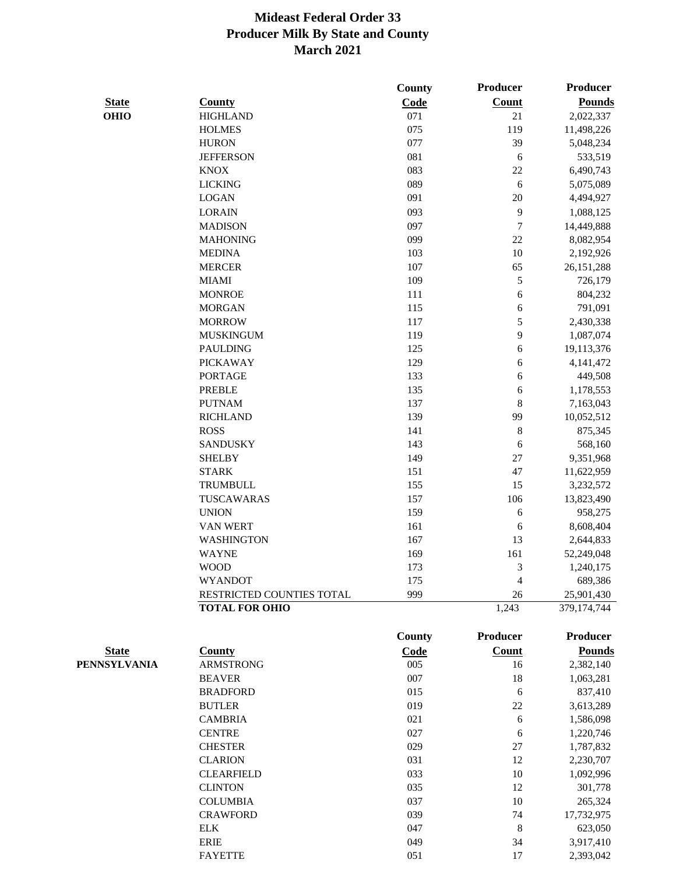|              |                                                    | County     | Producer         | Producer                    |
|--------------|----------------------------------------------------|------------|------------------|-----------------------------|
| <b>State</b> | <b>County</b>                                      | Code       | <b>Count</b>     | <b>Pounds</b>               |
| <b>OHIO</b>  | <b>HIGHLAND</b>                                    | 071        | 21               | 2,022,337                   |
|              | <b>HOLMES</b>                                      | 075        | 119              | 11,498,226                  |
|              | <b>HURON</b>                                       | 077        | 39               | 5,048,234                   |
|              | <b>JEFFERSON</b>                                   | 081        | 6                | 533,519                     |
|              | <b>KNOX</b>                                        | 083        | 22               | 6,490,743                   |
|              | <b>LICKING</b>                                     | 089        | 6                | 5,075,089                   |
|              | <b>LOGAN</b>                                       | 091        | $20\,$           | 4,494,927                   |
|              | <b>LORAIN</b>                                      | 093        | 9                | 1,088,125                   |
|              | <b>MADISON</b>                                     | 097        | $\boldsymbol{7}$ | 14,449,888                  |
|              | <b>MAHONING</b>                                    | 099        | 22               | 8,082,954                   |
|              | <b>MEDINA</b>                                      | 103        | 10               | 2,192,926                   |
|              | <b>MERCER</b>                                      | 107        | 65               | 26, 151, 288                |
|              | <b>MIAMI</b>                                       | 109        | 5                | 726,179                     |
|              | <b>MONROE</b>                                      | 111        | 6                | 804,232                     |
|              | <b>MORGAN</b>                                      | 115        | 6                | 791,091                     |
|              | <b>MORROW</b>                                      | 117        | 5                | 2,430,338                   |
|              | <b>MUSKINGUM</b>                                   | 119        | 9                | 1,087,074                   |
|              | <b>PAULDING</b>                                    | 125        | 6                | 19,113,376                  |
|              | <b>PICKAWAY</b>                                    | 129        | 6                | 4,141,472                   |
|              | <b>PORTAGE</b>                                     | 133        | 6                | 449,508                     |
|              | <b>PREBLE</b>                                      | 135        | 6                | 1,178,553                   |
|              | <b>PUTNAM</b>                                      | 137        | 8                | 7,163,043                   |
|              | <b>RICHLAND</b>                                    | 139        | 99               | 10,052,512                  |
|              | <b>ROSS</b>                                        | 141        | 8                | 875,345                     |
|              | <b>SANDUSKY</b>                                    | 143        | 6                | 568,160                     |
|              | <b>SHELBY</b>                                      | 149        | 27               | 9,351,968                   |
|              | <b>STARK</b>                                       | 151        | 47               | 11,622,959                  |
|              | <b>TRUMBULL</b>                                    | 155        | 15               | 3,232,572                   |
|              | TUSCAWARAS                                         | 157        | 106              |                             |
|              | <b>UNION</b>                                       | 159        |                  | 13,823,490                  |
|              | VAN WERT                                           | 161        | 6                | 958,275                     |
|              | <b>WASHINGTON</b>                                  | 167        | 6<br>13          | 8,608,404                   |
|              | <b>WAYNE</b>                                       |            | 161              | 2,644,833                   |
|              | <b>WOOD</b>                                        | 169        |                  | 52,249,048                  |
|              | <b>WYANDOT</b>                                     | 173        | 3                | 1,240,175                   |
|              |                                                    | 175<br>999 | 4<br>26          | 689,386                     |
|              | RESTRICTED COUNTIES TOTAL<br><b>TOTAL FOR OHIO</b> |            | 1,243            | 25,901,430<br>379, 174, 744 |
|              |                                                    |            |                  |                             |
|              |                                                    | County     | Producer         | <b>Producer</b>             |
| <b>State</b> | <b>County</b>                                      | Code       | Count            | <b>Pounds</b>               |
| PENNSYLVANIA | <b>ARMSTRONG</b>                                   | 005        | 16               | 2,382,140                   |
|              | <b>BEAVER</b>                                      | 007        | 18               | 1,063,281                   |
|              | <b>BRADFORD</b>                                    | 015        | 6                | 837,410                     |
|              | <b>BUTLER</b>                                      | 019        | 22               | 3,613,289                   |
|              | <b>CAMBRIA</b>                                     | 021        | 6                | 1,586,098                   |
|              | <b>CENTRE</b>                                      | 027        | 6                | 1,220,746                   |
|              | <b>CHESTER</b>                                     | 029        | 27               | 1,787,832                   |
|              | <b>CLARION</b>                                     | 031        | 12               | 2,230,707                   |
|              | <b>CLEARFIELD</b>                                  | 033        | 10               | 1,092,996                   |

CLINTON 035 12 301,778 COLUMBIA 037 10 265,324 CRAWFORD 039 74 17,732,975 ELK 623,050 ERIE 049 34 3,917,410 FAYETTE 051 17 2,393,042